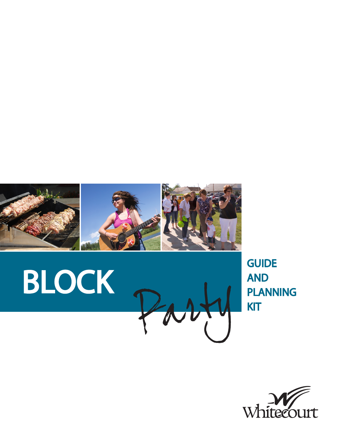



**GUIDE** AND PLANNING KIT

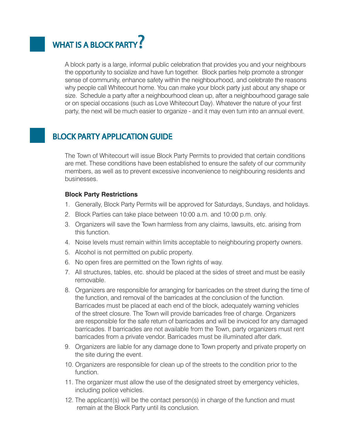## WHAT IS A BLOCK PARTY?

A block party is a large, informal public celebration that provides you and your neighbours the opportunity to socialize and have fun together. Block parties help promote a stronger sense of community, enhance safety within the neighbourhood, and celebrate the reasons why people call Whitecourt home. You can make your block party just about any shape or size. Schedule a party after a neighbourhood clean up, after a neighbourhood garage sale or on special occasions (such as Love Whitecourt Day). Whatever the nature of your first party, the next will be much easier to organize - and it may even turn into an annual event.

## BLOCK PARTY APPLICATION GUIDE

The Town of Whitecourt will issue Block Party Permits to provided that certain conditions are met. These conditions have been established to ensure the safety of our community members, as well as to prevent excessive inconvenience to neighbouring residents and businesses.

#### **Block Party Restrictions**

- 1. Generally, Block Party Permits will be approved for Saturdays, Sundays, and holidays.
- 2. Block Parties can take place between 10:00 a.m. and 10:00 p.m. only.
- 3. Organizers will save the Town harmless from any claims, lawsuits, etc. arising from this function.
- 4. Noise levels must remain within limits acceptable to neighbouring property owners.
- 5. Alcohol is not permitted on public property.
- 6. No open fires are permitted on the Town rights of way.
- 7. All structures, tables, etc. should be placed at the sides of street and must be easily removable.
- 8. Organizers are responsible for arranging for barricades on the street during the time of the function, and removal of the barricades at the conclusion of the function. Barricades must be placed at each end of the block, adequately warning vehicles of the street closure. The Town will provide barricades free of charge. Organizers are responsible for the safe return of barricades and will be invoiced for any damaged barricades. If barricades are not available from the Town, party organizers must rent barricades from a private vendor. Barricades must be illuminated after dark.
- 9. Organizers are liable for any damage done to Town property and private property on the site during the event.
- 10. Organizers are responsible for clean up of the streets to the condition prior to the function.
- 11. The organizer must allow the use of the designated street by emergency vehicles, including police vehicles.
- 12. The applicant(s) will be the contact person(s) in charge of the function and must remain at the Block Party until its conclusion.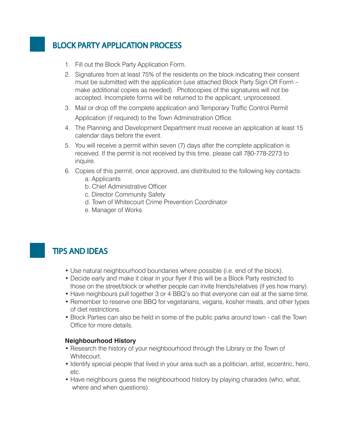## BLOCK PARTY APPLICATION PROCESS

- 1. Fill out the Block Party Application Form.
- 2. Signatures from at least 75% of the residents on the block indicating their consent must be submitted with the application (use attached Block Party Sign Off Form – make additional copies as needed). Photocopies of the signatures will not be accepted. Incomplete forms will be returned to the applicant, unprocessed.
- 3. Mail or drop off the complete application and Temporary Traffic Control Permit Application (if required) to the Town Administration Office.
- 4. The Planning and Development Department must receive an application at least 15 calendar days before the event.
- 5. You will receive a permit within seven (7) days after the complete application is received. If the permit is not received by this time, please call 780-778-2273 to inquire.
- 6. Copies of this permit, once approved, are distributed to the following key contacts: a. Applicants
	- b. Chief Administrative Officer
	- c. Director Community Safety
	- d. Town of Whitecourt Crime Prevention Coordinator
	- e. Manager of Works

## TIPS AND IDEAS

- Use natural neighbourhood boundaries where possible (i.e. end of the block).
- Decide early and make it clear in your flyer if this will be a Block Party restricted to those on the street/block or whether people can invite friends/relatives (if yes how many).
- Have neighbours pull together 3 or 4 BBQ's so that everyone can eat at the same time.
- Remember to reserve one BBQ for vegetarians, vegans, kosher meats, and other types of diet restrictions.
- Block Parties can also be held in some of the public parks around town call the Town Office for more details.

#### **Neighbourhood History**

- Research the history of your neighbourhood through the Library or the Town of Whitecourt.
- Identify special people that lived in your area such as a politician, artist, eccentric, hero, etc.
- Have neighbours guess the neighbourhood history by playing charades (who, what, where and when questions).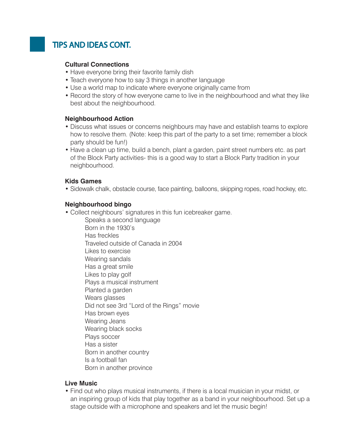## TIPS AND IDEAS CONT.

#### **Cultural Connections**

- Have everyone bring their favorite family dish
- Teach everyone how to say 3 things in another language
- Use a world map to indicate where everyone originally came from
- Record the story of how everyone came to live in the neighbourhood and what they like best about the neighbourhood.

#### **Neighbourhood Action**

- Discuss what issues or concerns neighbours may have and establish teams to explore how to resolve them. (Note: keep this part of the party to a set time; remember a block party should be fun!)
- Have a clean up time, build a bench, plant a garden, paint street numbers etc. as part of the Block Party activities- this is a good way to start a Block Party tradition in your neighbourhood.

#### **Kids Games**

• Sidewalk chalk, obstacle course, face painting, balloons, skipping ropes, road hockey, etc.

#### **Neighbourhood bingo**

- Collect neighbours' signatures in this fun icebreaker game.
	- Speaks a second language
	- Born in the 1930's
	- Has freckles
	- Traveled outside of Canada in 2004
	- Likes to exercise
	- Wearing sandals
	- Has a great smile
	- Likes to play golf
	- Plays a musical instrument
	- Planted a garden
	- Wears glasses
	- Did not see 3rd "Lord of the Rings" movie
	- Has brown eyes
	- Wearing Jeans
	- Wearing black socks
	- Plays soccer
	- Has a sister
	- Born in another country
	- Is a football fan
	- Born in another province

#### **Live Music**

• Find out who plays musical instruments, if there is a local musician in your midst, or an inspiring group of kids that play together as a band in your neighbourhood. Set up a stage outside with a microphone and speakers and let the music begin!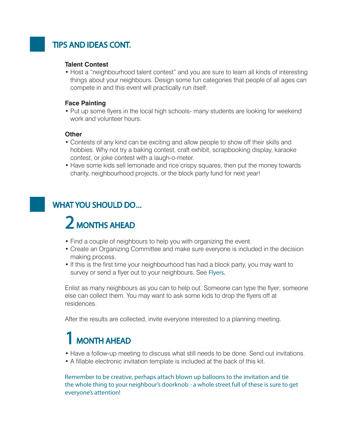## TIPS AND IDEAS CONT.

#### **Talent Contest**

• Host a "neighbourhood talent contest" and you are sure to learn all kinds of interesting things about your neighbours. Design some fun categories that people of all ages can compete in and this event will practically run itself.

#### **Face Painting**

• Put up some flyers in the local high schools- many students are looking for weekend work and volunteer hours.

#### **Other**

- Contests of any kind can be exciting and allow people to show off their skills and hobbies. Why not try a baking contest, craft exhibit, scrapbooking display, karaoke contest, or joke contest with a laugh-o-meter.
- Have some kids sell lemonade and rice crispy squares, then put the money towards charity, neighbourhood projects, or the block party fund for next year!

## WHAT YOU SHOULD DO...

# 2 MONTHS AHEAD

- Find a couple of neighbours to help you with organizing the event.
- Create an Organizing Committee and make sure everyone is included in the decision making process.
- If this is the first time your neighbourhood has had a block party, you may want to survey or send a flyer out to your neighbours. See Flyers.

Enlist as many neighbours as you can to help out. Someone can type the flyer; someone else can collect them. You may want to ask some kids to drop the flyers off at residences.

After the results are collected, invite everyone interested to a planning meeting.

# 1 MONTH AHEAD

- Have a follow-up meeting to discuss what still needs to be done. Send out invitations.
- A fillable electronic invitation template is included at the back of this kit.

Remember to be creative, perhaps attach blown up balloons to the invitation and tie the whole thing to your neighbour's doorknob - a whole street full of these is sure to get everyone's attention!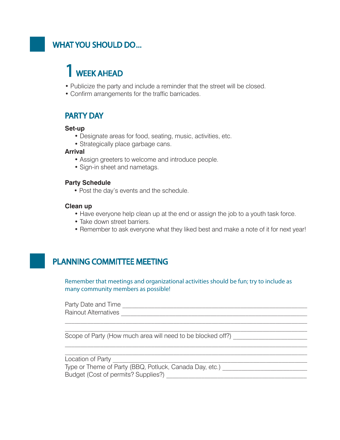## WHAT YOU SHOULD DO...

# 1 WEEK AHEAD

- Publicize the party and include a reminder that the street will be closed.
- Confirm arrangements for the traffic barricades.

#### PARTY DAY

#### **Set-up**

- Designate areas for food, seating, music, activities, etc.
- Strategically place garbage cans.

#### **Arrival**

- Assign greeters to welcome and introduce people.
- Sign-in sheet and nametags.

#### **Party Schedule**

• Post the day's events and the schedule.

#### **Clean up**

- Have everyone help clean up at the end or assign the job to a youth task force.
- Take down street barriers.
- Remember to ask everyone what they liked best and make a note of it for next year!

## PLANNING COMMITTEE MEETING

Remember that meetings and organizational activities should be fun; try to include as many community members as possible!

Party Date and Time \_\_\_\_\_\_\_\_\_\_\_\_\_\_\_\_\_\_\_\_\_\_\_\_\_\_\_\_\_\_\_\_\_\_\_\_\_\_\_\_\_\_\_\_\_\_\_\_\_\_\_\_\_\_\_\_\_\_ Rainout Alternatives \_\_\_\_\_\_\_\_\_\_\_\_\_\_\_\_\_\_\_\_\_\_\_\_\_\_\_\_\_\_\_\_\_\_\_\_\_\_\_\_\_\_\_\_\_\_\_\_\_\_\_\_\_\_\_\_\_\_\_

Scope of Party (How much area will need to be blocked off?) \_\_\_\_\_\_\_\_\_\_\_\_\_\_\_\_\_\_\_\_

| י ו<br>∽<br>------ |  |
|--------------------|--|
|                    |  |

Type or Theme of Party (BBQ, Potluck, Canada Day, etc.) \_\_\_\_\_\_\_\_\_\_\_\_\_\_\_\_\_\_\_\_\_\_\_\_ Budget (Cost of permits? Supplies?) \_\_\_\_\_\_\_\_\_\_\_\_\_\_\_\_\_\_\_\_\_\_\_\_\_\_\_\_\_\_\_\_\_\_\_\_\_\_\_\_\_\_\_\_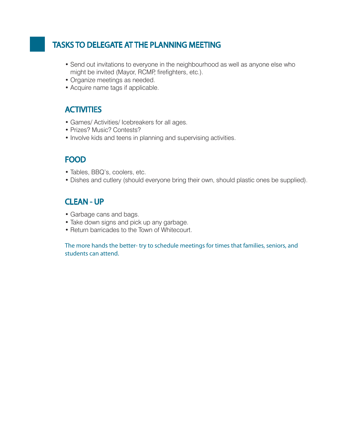## TASKS TO DELEGATE AT THE PLANNING MEETING

- Send out invitations to everyone in the neighbourhood as well as anyone else who might be invited (Mayor, RCMP, firefighters, etc.).
- Organize meetings as needed.
- Acquire name tags if applicable.

### **ACTIVITIES**

- Games/ Activities/ Icebreakers for all ages.
- Prizes? Music? Contests?
- Involve kids and teens in planning and supervising activities.

### FOOD

- Tables, BBQ's, coolers, etc.
- Dishes and cutlery (should everyone bring their own, should plastic ones be supplied).

### CLEAN - UP

- Garbage cans and bags.
- Take down signs and pick up any garbage.
- Return barricades to the Town of Whitecourt.

The more hands the better- try to schedule meetings for times that families, seniors, and students can attend.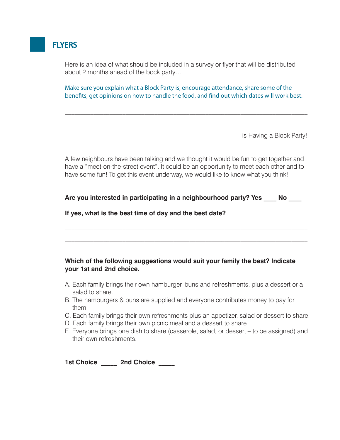

Here is an idea of what should be included in a survey or flyer that will be distributed about 2 months ahead of the bock party…

Make sure you explain what a Block Party is, encourage attendance, share some of the benefits, get opinions on how to handle the food, and find out which dates will work best.

\_\_\_\_\_\_\_\_\_\_\_\_\_\_\_\_\_\_\_\_\_\_\_\_\_\_\_\_\_\_\_\_\_\_\_\_\_\_\_\_\_\_\_\_\_\_\_\_\_\_\_\_\_\_\_ is Having a Block Party!

A few neighbours have been talking and we thought it would be fun to get together and have a "meet-on-the-street event". It could be an opportunity to meet each other and to have some fun! To get this event underway, we would like to know what you think!

**Are you interested in participating in a neighbourhood party? Yes \_\_\_\_ No \_\_\_\_**

#### **If yes, what is the best time of day and the best date?**

#### **Which of the following suggestions would suit your family the best? Indicate your 1st and 2nd choice.**

- A. Each family brings their own hamburger, buns and refreshments, plus a dessert or a salad to share.
- B. The hamburgers & buns are supplied and everyone contributes money to pay for them.
- C. Each family brings their own refreshments plus an appetizer, salad or dessert to share.
- D. Each family brings their own picnic meal and a dessert to share.
- E. Everyone brings one dish to share (casserole, salad, or dessert to be assigned) and their own refreshments.

**1st Choice \_\_\_\_\_ 2nd Choice \_\_\_\_\_**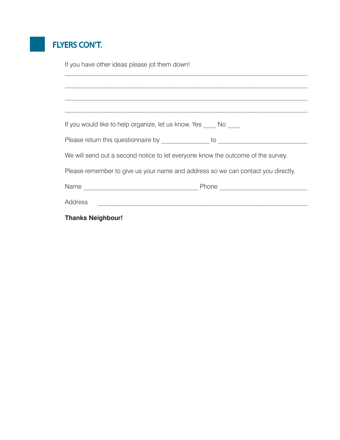## FLYERS CON'T.

If you have other ideas please jot them down! If you would like to help organize, let us know. Yes \_\_\_\_ No \_\_\_\_ Please return this questionnaire by \_\_\_\_\_\_\_\_\_\_\_\_\_\_\_ to \_\_\_\_\_\_\_\_\_\_\_\_\_\_\_\_\_\_\_\_\_\_\_\_\_\_\_\_ We will send out a second notice to let everyone know the outcome of the survey. Please remember to give us your name and address so we can contact you directly. Name \_\_\_\_\_\_\_\_\_\_\_\_\_\_\_\_\_\_\_\_\_\_\_\_\_\_\_\_\_\_\_\_\_\_\_\_ Phone \_\_\_\_\_\_\_\_\_\_\_\_\_\_\_\_\_\_\_\_\_\_\_\_\_\_\_\_ Address  $\overline{A}$ **Thanks Neighbour!**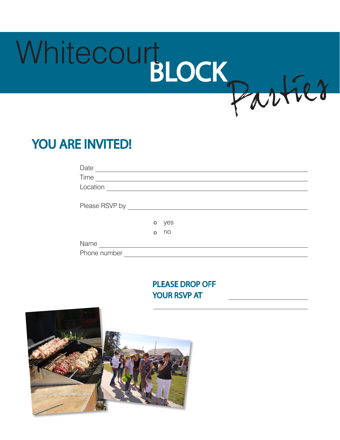

## YOU ARE INVITED!

| Date                  |     |
|-----------------------|-----|
| Time                  |     |
| Location              |     |
|                       |     |
| Please RSVP by ______ |     |
|                       |     |
| o                     | yes |
| $\Omega$              | no  |
| Name                  |     |
| Phone number          |     |

PLEASE DROP OFF YOUR RSVP AT

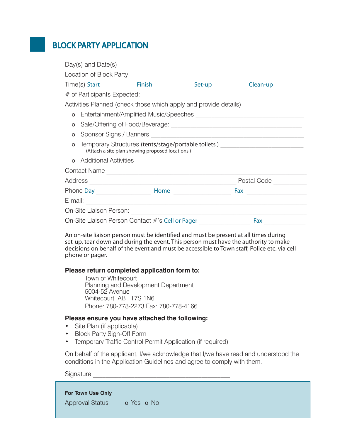## BLOCK PARTY APPLICATION

|          | # of Participants Expected: _____                                |  |  |                                                                                  |  |
|----------|------------------------------------------------------------------|--|--|----------------------------------------------------------------------------------|--|
|          | Activities Planned (check those which apply and provide details) |  |  |                                                                                  |  |
| $\Omega$ |                                                                  |  |  |                                                                                  |  |
| O        |                                                                  |  |  |                                                                                  |  |
|          |                                                                  |  |  |                                                                                  |  |
|          | (Attach a site plan showing proposed locations.)                 |  |  | Temporary Structures (tents/stage/portable toilets) ____________________________ |  |
|          |                                                                  |  |  |                                                                                  |  |
|          |                                                                  |  |  |                                                                                  |  |
|          |                                                                  |  |  | Postal Code _________                                                            |  |
|          |                                                                  |  |  |                                                                                  |  |
|          |                                                                  |  |  |                                                                                  |  |
|          |                                                                  |  |  |                                                                                  |  |
|          | On-Site Liaison Person Contact #'s Cell or Pager                 |  |  | Fax                                                                              |  |

An on-site liaison person must be identified and must be present at all times during set-up, tear down and during the event. This person must have the authority to make decisions on behalf of the event and must be accessible to Town staff, Police etc. via cell phone or pager.

#### **Please return completed application form to:**

Town of Whitecourt Planning and Development Department 5004-52 Avenue Whitecourt AB T7S 1N6 Phone: 780-778-2273 Fax: 780-778-4166

#### **Please ensure you have attached the following:**

- Site Plan (if applicable)
- Block Party Sign-Off Form
- Temporary Traffic Control Permit Application (if required)

On behalf of the applicant, I/we acknowledge that I/we have read and understood the conditions in the Application Guidelines and agree to comply with them.

Signature

#### **For Town Use Only**

Approval Status **o** Yes **o** No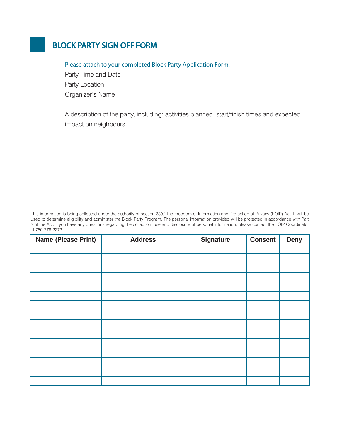## BLOCK PARTY SIGN OFF FORM

#### Please attach to your completed Block Party Application Form.

| Party Time and Date |  |
|---------------------|--|
| Party Location      |  |
| Organizer's Name    |  |

A description of the party, including: activities planned, start/finish times and expected impact on neighbours.

This information is being collected under the authority of section 33(c) the Freedom of Information and Protection of Privacy (FOIP) Act. It will be used to determine eligibility and administer the Block Party Program. The personal information provided will be protected in accordance with Part 2 of the Act. If you have any questions regarding the collection, use and disclosure of personal information, please contact the FOIP Coordinator at 780-778-2273.

| <b>Name (Please Print)</b> | <b>Address</b> | <b>Signature</b> | <b>Consent</b> | <b>Deny</b> |
|----------------------------|----------------|------------------|----------------|-------------|
|                            |                |                  |                |             |
|                            |                |                  |                |             |
|                            |                |                  |                |             |
|                            |                |                  |                |             |
|                            |                |                  |                |             |
|                            |                |                  |                |             |
|                            |                |                  |                |             |
|                            |                |                  |                |             |
|                            |                |                  |                |             |
|                            |                |                  |                |             |
|                            |                |                  |                |             |
|                            |                |                  |                |             |
|                            |                |                  |                |             |
|                            |                |                  |                |             |
|                            |                |                  |                |             |